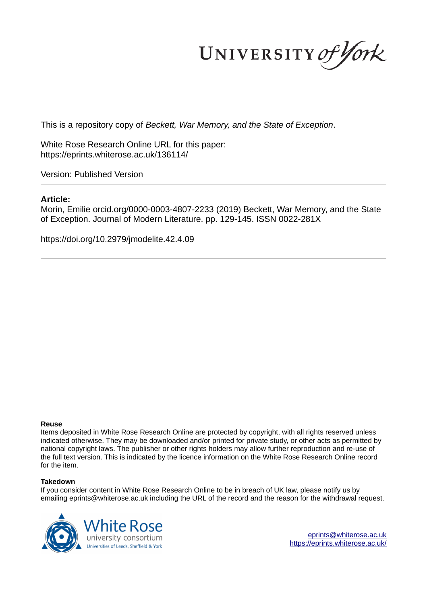UNIVERSITY of York

This is a repository copy of *Beckett, War Memory, and the State of Exception*.

White Rose Research Online URL for this paper: https://eprints.whiterose.ac.uk/136114/

Version: Published Version

## **Article:**

Morin, Emilie orcid.org/0000-0003-4807-2233 (2019) Beckett, War Memory, and the State of Exception. Journal of Modern Literature. pp. 129-145. ISSN 0022-281X

https://doi.org/10.2979/jmodelite.42.4.09

### **Reuse**

Items deposited in White Rose Research Online are protected by copyright, with all rights reserved unless indicated otherwise. They may be downloaded and/or printed for private study, or other acts as permitted by national copyright laws. The publisher or other rights holders may allow further reproduction and re-use of the full text version. This is indicated by the licence information on the White Rose Research Online record for the item.

### **Takedown**

If you consider content in White Rose Research Online to be in breach of UK law, please notify us by emailing eprints@whiterose.ac.uk including the URL of the record and the reason for the withdrawal request.



eprints@whiterose.ac.uk https://eprints.whiterose.ac.uk/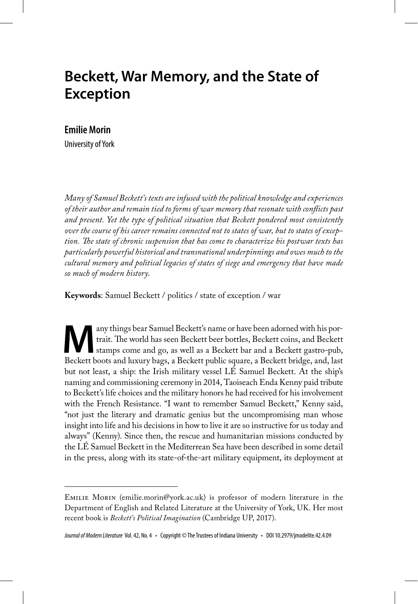# **Beckett, War Memory, and the State of Exception**

### **Emilie Morin**

University of York

*Many of Samuel Beckett's texts are infused with the political knowledge and experiences of their author and remain tied to forms of war memory that resonate with conflicts past and present. Yet the type of political situation that Beckett pondered most consistently over the course of his career remains connected not to states of war, but to states of exception. The state of chronic suspension that has come to characterize his postwar texts has particularly powerful historical and transnational underpinnings and owes much to the cultural memory and political legacies of states of siege and emergency that have made so much of modern history.* 

**Keywords**: Samuel Beckett / politics / state of exception / war

Many things bear Samuel Beckett's name or have been adorned with his portrait. The world has seen Beckett beer bottles, Beckett coins, and Beckett stamps come and go, as well as a Beckett bar and a Beckett gastro-pub, Beck any things bear Samuel Beckett's name or have been adorned with his portrait. The world has seen Beckett beer bottles, Beckett coins, and Beckett stamps come and go, as well as a Beckett bar and a Beckett gastro-pub, but not least, a ship: the Irish military vessel LÉ Samuel Beckett. At the ship's naming and commissioning ceremony in 2014, Taoiseach Enda Kenny paid tribute to Beckett's life choices and the military honors he had received for his involvement with the French Resistance. "I want to remember Samuel Beckett," Kenny said, "not just the literary and dramatic genius but the uncompromising man whose insight into life and his decisions in how to live it are so instructive for us today and always" (Kenny). Since then, the rescue and humanitarian missions conducted by the LÉ Samuel Beckett in the Mediterrean Sea have been described in some detail in the press, along with its state-of-the-art military equipment, its deployment at

Emilie Morin (emilie.morin@york.ac.uk) is professor of modern literature in the Department of English and Related Literature at the University of York, UK. Her most recent book is *Beckett's Political Imagination* (Cambridge UP, 2017).

Journal of Modern Literature Vol. 42, No. 4 • Copyright © The Trustees of Indiana University • DOI 10.2979/jmodelite.42.4.09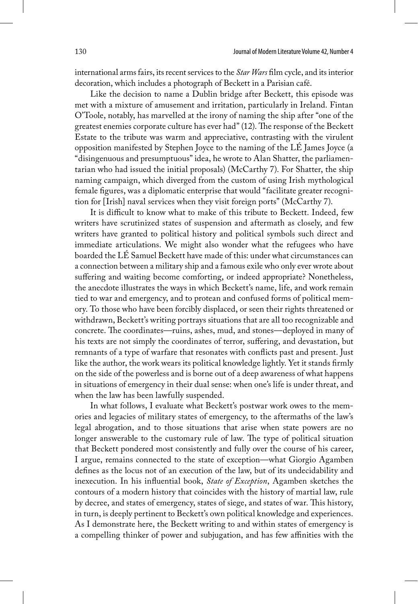international arms fairs, its recent services to the *Star Wars* film cycle, and its interior decoration, which includes a photograph of Beckett in a Parisian café.

Like the decision to name a Dublin bridge after Beckett, this episode was met with a mixture of amusement and irritation, particularly in Ireland. Fintan O'Toole, notably, has marvelled at the irony of naming the ship after "one of the greatest enemies corporate culture has ever had" (12). The response of the Beckett Estate to the tribute was warm and appreciative, contrasting with the virulent opposition manifested by Stephen Joyce to the naming of the LÉ James Joyce (a "disingenuous and presumptuous" idea, he wrote to Alan Shatter, the parliamentarian who had issued the initial proposals) (McCarthy 7). For Shatter, the ship naming campaign, which diverged from the custom of using Irish mythological female figures, was a diplomatic enterprise that would "facilitate greater recognition for [Irish] naval services when they visit foreign ports" (McCarthy 7).

It is difficult to know what to make of this tribute to Beckett. Indeed, few writers have scrutinized states of suspension and aftermath as closely, and few writers have granted to political history and political symbols such direct and immediate articulations. We might also wonder what the refugees who have boarded the LÉ Samuel Beckett have made of this: under what circumstances can a connection between a military ship and a famous exile who only ever wrote about suffering and waiting become comforting, or indeed appropriate? Nonetheless, the anecdote illustrates the ways in which Beckett's name, life, and work remain tied to war and emergency, and to protean and confused forms of political memory. To those who have been forcibly displaced, or seen their rights threatened or withdrawn, Beckett's writing portrays situations that are all too recognizable and concrete. The coordinates—ruins, ashes, mud, and stones—deployed in many of his texts are not simply the coordinates of terror, suffering, and devastation, but remnants of a type of warfare that resonates with conflicts past and present. Just like the author, the work wears its political knowledge lightly. Yet it stands firmly on the side of the powerless and is borne out of a deep awareness of what happens in situations of emergency in their dual sense: when one's life is under threat, and when the law has been lawfully suspended.

In what follows, I evaluate what Beckett's postwar work owes to the memories and legacies of military states of emergency, to the aftermaths of the law's legal abrogation, and to those situations that arise when state powers are no longer answerable to the customary rule of law. The type of political situation that Beckett pondered most consistently and fully over the course of his career, I argue, remains connected to the state of exception—what Giorgio Agamben defines as the locus not of an execution of the law, but of its undecidability and inexecution. In his influential book, *State of Exception*, Agamben sketches the contours of a modern history that coincides with the history of martial law, rule by decree, and states of emergency, states of siege, and states of war. This history, in turn, is deeply pertinent to Beckett's own political knowledge and experiences. As I demonstrate here, the Beckett writing to and within states of emergency is a compelling thinker of power and subjugation, and has few affinities with the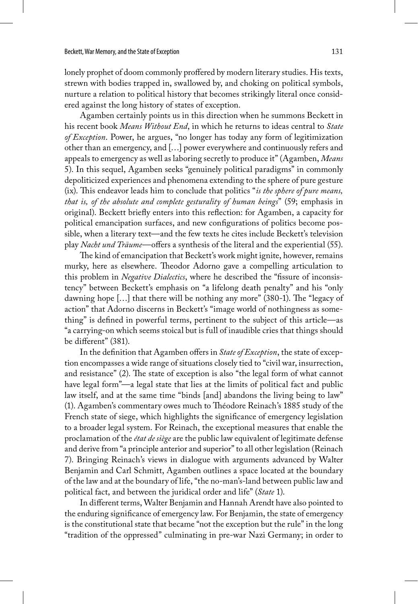lonely prophet of doom commonly proffered by modern literary studies. His texts, strewn with bodies trapped in, swallowed by, and choking on political symbols, nurture a relation to political history that becomes strikingly literal once considered against the long history of states of exception.

Agamben certainly points us in this direction when he summons Beckett in his recent book *Means Without End*, in which he returns to ideas central to *State of Exception*. Power, he argues, "no longer has today any form of legitimization other than an emergency, and […] power everywhere and continuously refers and appeals to emergency as well as laboring secretly to produce it" (Agamben, *Means* 5). In this sequel, Agamben seeks "genuinely political paradigms" in commonly depoliticized experiences and phenomena extending to the sphere of pure gesture (ix). This endeavor leads him to conclude that politics "*is the sphere of pure means, that is, of the absolute and complete gesturality of human beings*" (59; emphasis in original). Beckett briefly enters into this reflection: for Agamben, a capacity for political emancipation surfaces, and new configurations of politics become possible, when a literary text—and the few texts he cites include Beckett's television play *Nacht und Träume*—offers a synthesis of the literal and the experiential (55).

The kind of emancipation that Beckett's work might ignite, however, remains murky, here as elsewhere. Theodor Adorno gave a compelling articulation to this problem in *Negative Dialectics*, where he described the "fissure of inconsistency" between Beckett's emphasis on "a lifelong death penalty" and his "only dawning hope […] that there will be nothing any more" (380-1). The "legacy of action" that Adorno discerns in Beckett's "image world of nothingness as something" is defined in powerful terms, pertinent to the subject of this article—as "a carrying-on which seems stoical but is full of inaudible cries that things should be different" (381).

In the definition that Agamben offers in *State of Exception*, the state of exception encompasses a wide range of situations closely tied to "civil war, insurrection, and resistance" (2). The state of exception is also "the legal form of what cannot have legal form"—a legal state that lies at the limits of political fact and public law itself, and at the same time "binds [and] abandons the living being to law" (1). Agamben's commentary owes much to Théodore Reinach's 1885 study of the French state of siege, which highlights the significance of emergency legislation to a broader legal system. For Reinach, the exceptional measures that enable the proclamation of the *état de siège* are the public law equivalent of legitimate defense and derive from "a principle anterior and superior" to all other legislation (Reinach 7). Bringing Reinach's views in dialogue with arguments advanced by Walter Benjamin and Carl Schmitt, Agamben outlines a space located at the boundary of the law and at the boundary of life, "the no-man's-land between public law and political fact, and between the juridical order and life" (*State* 1).

In different terms, Walter Benjamin and Hannah Arendt have also pointed to the enduring significance of emergency law. For Benjamin, the state of emergency is the constitutional state that became "not the exception but the rule" in the long "tradition of the oppressed" culminating in pre-war Nazi Germany; in order to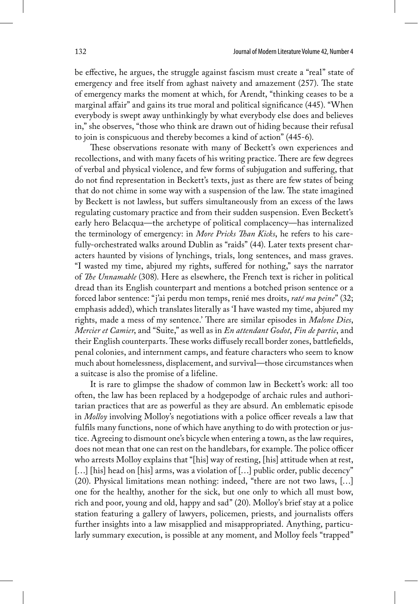be effective, he argues, the struggle against fascism must create a "real" state of emergency and free itself from aghast naivety and amazement (257). The state of emergency marks the moment at which, for Arendt, "thinking ceases to be a marginal affair" and gains its true moral and political significance (445). "When everybody is swept away unthinkingly by what everybody else does and believes in," she observes, "those who think are drawn out of hiding because their refusal to join is conspicuous and thereby becomes a kind of action" (445-6).

These observations resonate with many of Beckett's own experiences and recollections, and with many facets of his writing practice. There are few degrees of verbal and physical violence, and few forms of subjugation and suffering, that do not find representation in Beckett's texts, just as there are few states of being that do not chime in some way with a suspension of the law. The state imagined by Beckett is not lawless, but suffers simultaneously from an excess of the laws regulating customary practice and from their sudden suspension. Even Beckett's early hero Belacqua—the archetype of political complacency—has internalized the terminology of emergency: in *More Pricks Than Kicks*, he refers to his carefully-orchestrated walks around Dublin as "raids" (44). Later texts present characters haunted by visions of lynchings, trials, long sentences, and mass graves. "I wasted my time, abjured my rights, suffered for nothing," says the narrator of *The Unnamable* (308). Here as elsewhere, the French text is richer in political dread than its English counterpart and mentions a botched prison sentence or a forced labor sentence: "j'ai perdu mon temps, renié mes droits, *raté ma peine*" (32; emphasis added), which translates literally as 'I have wasted my time, abjured my rights, made a mess of my sentence.' There are similar episodes in *Malone Dies*, *Mercier et Camier*, and "Suite," as well as in *En attendant Godot*, *Fin de partie*, and their English counterparts. These works diffusely recall border zones, battlefields, penal colonies, and internment camps, and feature characters who seem to know much about homelessness, displacement, and survival—those circumstances when a suitcase is also the promise of a lifeline.

It is rare to glimpse the shadow of common law in Beckett's work: all too often, the law has been replaced by a hodgepodge of archaic rules and authoritarian practices that are as powerful as they are absurd. An emblematic episode in *Molloy* involving Molloy's negotiations with a police officer reveals a law that fulfils many functions, none of which have anything to do with protection or justice. Agreeing to dismount one's bicycle when entering a town, as the law requires, does not mean that one can rest on the handlebars, for example. The police officer who arrests Molloy explains that "[his] way of resting, [his] attitude when at rest, [...] [his] head on [his] arms, was a violation of [...] public order, public decency" (20). Physical limitations mean nothing: indeed, "there are not two laws, […] one for the healthy, another for the sick, but one only to which all must bow, rich and poor, young and old, happy and sad" (20). Molloy's brief stay at a police station featuring a gallery of lawyers, policemen, priests, and journalists offers further insights into a law misapplied and misappropriated. Anything, particularly summary execution, is possible at any moment, and Molloy feels "trapped"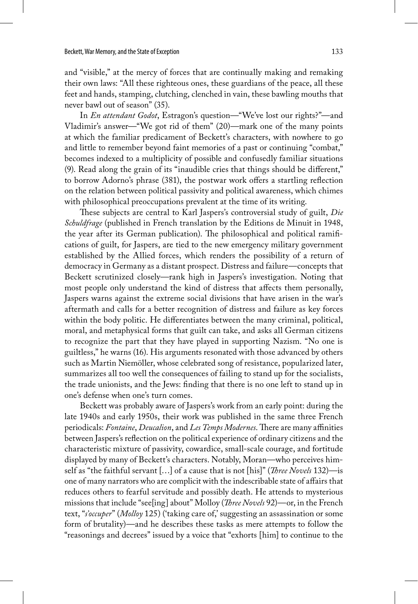and "visible," at the mercy of forces that are continually making and remaking their own laws: "All these righteous ones, these guardians of the peace, all these feet and hands, stamping, clutching, clenched in vain, these bawling mouths that never bawl out of season" (35).

In *En attendant Godot*, Estragon's question—"We've lost our rights?"—and Vladimir's answer—"We got rid of them" (20)—mark one of the many points at which the familiar predicament of Beckett's characters, with nowhere to go and little to remember beyond faint memories of a past or continuing "combat," becomes indexed to a multiplicity of possible and confusedly familiar situations (9). Read along the grain of its "inaudible cries that things should be different," to borrow Adorno's phrase (381), the postwar work offers a startling reflection on the relation between political passivity and political awareness, which chimes with philosophical preoccupations prevalent at the time of its writing.

These subjects are central to Karl Jaspers's controversial study of guilt, *Die Schuldfrage* (published in French translation by the Editions de Minuit in 1948, the year after its German publication). The philosophical and political ramifications of guilt, for Jaspers, are tied to the new emergency military government established by the Allied forces, which renders the possibility of a return of democracy in Germany as a distant prospect. Distress and failure—concepts that Beckett scrutinized closely—rank high in Jaspers's investigation. Noting that most people only understand the kind of distress that affects them personally, Jaspers warns against the extreme social divisions that have arisen in the war's aftermath and calls for a better recognition of distress and failure as key forces within the body politic. He differentiates between the many criminal, political, moral, and metaphysical forms that guilt can take, and asks all German citizens to recognize the part that they have played in supporting Nazism. "No one is guiltless," he warns (16). His arguments resonated with those advanced by others such as Martin Niemöller, whose celebrated song of resistance, popularized later, summarizes all too well the consequences of failing to stand up for the socialists, the trade unionists, and the Jews: finding that there is no one left to stand up in one's defense when one's turn comes.

Beckett was probably aware of Jaspers's work from an early point: during the late 1940s and early 1950s, their work was published in the same three French periodicals: *Fontaine*, *Deucalion*, and *Les Temps Modernes*. There are many affinities between Jaspers's reflection on the political experience of ordinary citizens and the characteristic mixture of passivity, cowardice, small-scale courage, and fortitude displayed by many of Beckett's characters. Notably, Moran—who perceives himself as "the faithful servant […] of a cause that is not [his]" (*Three Novels* 132)—is one of many narrators who are complicit with the indescribable state of affairs that reduces others to fearful servitude and possibly death. He attends to mysterious missions that include "see[ing] about" Molloy (*Three Novels* 92)—or, in the French text, "*s'occuper*" (*Molloy* 125) ('taking care of,' suggesting an assassination or some form of brutality)—and he describes these tasks as mere attempts to follow the "reasonings and decrees" issued by a voice that "exhorts [him] to continue to the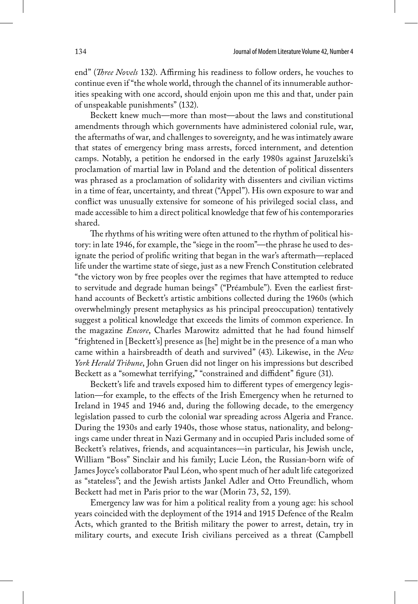end" (*Three Novels* 132). Affirming his readiness to follow orders, he vouches to continue even if "the whole world, through the channel of its innumerable authorities speaking with one accord, should enjoin upon me this and that, under pain of unspeakable punishments" (132).

Beckett knew much—more than most—about the laws and constitutional amendments through which governments have administered colonial rule, war, the aftermaths of war, and challenges to sovereignty, and he was intimately aware that states of emergency bring mass arrests, forced internment, and detention camps. Notably, a petition he endorsed in the early 1980s against Jaruzelski's proclamation of martial law in Poland and the detention of political dissenters was phrased as a proclamation of solidarity with dissenters and civilian victims in a time of fear, uncertainty, and threat ("Appel"). His own exposure to war and conflict was unusually extensive for someone of his privileged social class, and made accessible to him a direct political knowledge that few of his contemporaries shared.

The rhythms of his writing were often attuned to the rhythm of political history: in late 1946, for example, the "siege in the room"—the phrase he used to designate the period of prolific writing that began in the war's aftermath—replaced life under the wartime state of siege, just as a new French Constitution celebrated "the victory won by free peoples over the regimes that have attempted to reduce to servitude and degrade human beings" ("Préambule"). Even the earliest firsthand accounts of Beckett's artistic ambitions collected during the 1960s (which overwhelmingly present metaphysics as his principal preoccupation) tentatively suggest a political knowledge that exceeds the limits of common experience. In the magazine *Encore*, Charles Marowitz admitted that he had found himself "frightened in [Beckett's] presence as [he] might be in the presence of a man who came within a hairsbreadth of death and survived" (43). Likewise, in the *New York Herald Tribune*, John Gruen did not linger on his impressions but described Beckett as a "somewhat terrifying," "constrained and diffident" figure (31).

Beckett's life and travels exposed him to different types of emergency legislation—for example, to the effects of the Irish Emergency when he returned to Ireland in 1945 and 1946 and, during the following decade, to the emergency legislation passed to curb the colonial war spreading across Algeria and France. During the 1930s and early 1940s, those whose status, nationality, and belongings came under threat in Nazi Germany and in occupied Paris included some of Beckett's relatives, friends, and acquaintances—in particular, his Jewish uncle, William "Boss" Sinclair and his family; Lucie Léon, the Russian-born wife of James Joyce's collaborator Paul Léon, who spent much of her adult life categorized as "stateless"; and the Jewish artists Jankel Adler and Otto Freundlich, whom Beckett had met in Paris prior to the war (Morin 73, 52, 159).

Emergency law was for him a political reality from a young age: his school years coincided with the deployment of the 1914 and 1915 Defence of the Realm Acts, which granted to the British military the power to arrest, detain, try in military courts, and execute Irish civilians perceived as a threat (Campbell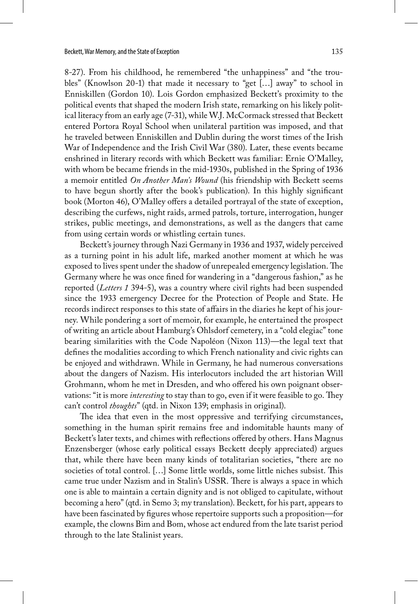8-27). From his childhood, he remembered "the unhappiness" and "the troubles" (Knowlson 20-1) that made it necessary to "get […] away" to school in Enniskillen (Gordon 10). Lois Gordon emphasized Beckett's proximity to the political events that shaped the modern Irish state, remarking on his likely political literacy from an early age (7-31), while W.J. McCormack stressed that Beckett entered Portora Royal School when unilateral partition was imposed, and that he traveled between Enniskillen and Dublin during the worst times of the Irish War of Independence and the Irish Civil War (380). Later, these events became enshrined in literary records with which Beckett was familiar: Ernie O'Malley, with whom be became friends in the mid-1930s, published in the Spring of 1936 a memoir entitled *On Another Man's Wound* (his friendship with Beckett seems to have begun shortly after the book's publication). In this highly significant book (Morton 46), O'Malley offers a detailed portrayal of the state of exception, describing the curfews, night raids, armed patrols, torture, interrogation, hunger strikes, public meetings, and demonstrations, as well as the dangers that came from using certain words or whistling certain tunes.

Beckett's journey through Nazi Germany in 1936 and 1937, widely perceived as a turning point in his adult life, marked another moment at which he was exposed to lives spent under the shadow of unrepealed emergency legislation. The Germany where he was once fined for wandering in a "dangerous fashion," as he reported (*Letters 1* 394-5), was a country where civil rights had been suspended since the 1933 emergency Decree for the Protection of People and State. He records indirect responses to this state of affairs in the diaries he kept of his journey. While pondering a sort of memoir, for example, he entertained the prospect of writing an article about Hamburg's Ohlsdorf cemetery, in a "cold elegiac" tone bearing similarities with the Code Napoléon (Nixon 113)—the legal text that defines the modalities according to which French nationality and civic rights can be enjoyed and withdrawn. While in Germany, he had numerous conversations about the dangers of Nazism. His interlocutors included the art historian Will Grohmann, whom he met in Dresden, and who offered his own poignant observations: "it is more *interesting* to stay than to go, even if it were feasible to go. They can't control *thoughts*" (qtd. in Nixon 139; emphasis in original).

The idea that even in the most oppressive and terrifying circumstances, something in the human spirit remains free and indomitable haunts many of Beckett's later texts, and chimes with reflections offered by others. Hans Magnus Enzensberger (whose early political essays Beckett deeply appreciated) argues that, while there have been many kinds of totalitarian societies, "there are no societies of total control. […] Some little worlds, some little niches subsist. This came true under Nazism and in Stalin's USSR. There is always a space in which one is able to maintain a certain dignity and is not obliged to capitulate, without becoming a hero" (qtd. in Semo 3; my translation). Beckett, for his part, appears to have been fascinated by figures whose repertoire supports such a proposition—for example, the clowns Bim and Bom, whose act endured from the late tsarist period through to the late Stalinist years.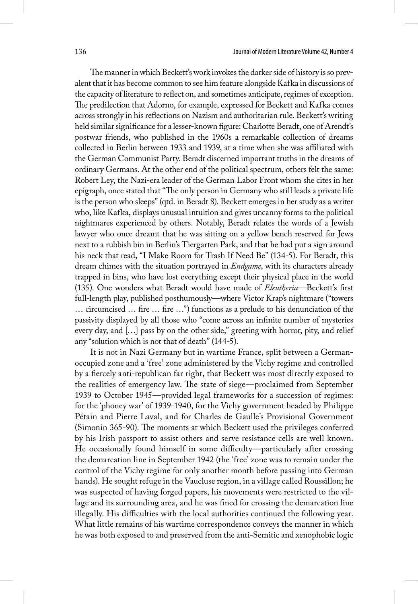The manner in which Beckett's work invokes the darker side of history is so prevalent that it has become common to see him feature alongside Kafka in discussions of the capacity of literature to reflect on, and sometimes anticipate, regimes of exception. The predilection that Adorno, for example, expressed for Beckett and Kafka comes across strongly in his reflections on Nazism and authoritarian rule. Beckett's writing held similar significance for a lesser-known figure: Charlotte Beradt, one of Arendt's postwar friends, who published in the 1960s a remarkable collection of dreams collected in Berlin between 1933 and 1939, at a time when she was affiliated with the German Communist Party. Beradt discerned important truths in the dreams of ordinary Germans. At the other end of the political spectrum, others felt the same: Robert Ley, the Nazi-era leader of the German Labor Front whom she cites in her epigraph, once stated that "The only person in Germany who still leads a private life is the person who sleeps" (qtd. in Beradt 8). Beckett emerges in her study as a writer who, like Kafka, displays unusual intuition and gives uncanny forms to the political nightmares experienced by others. Notably, Beradt relates the words of a Jewish lawyer who once dreamt that he was sitting on a yellow bench reserved for Jews next to a rubbish bin in Berlin's Tiergarten Park, and that he had put a sign around his neck that read, "I Make Room for Trash If Need Be" (134-5). For Beradt, this dream chimes with the situation portrayed in *Endgame*, with its characters already trapped in bins, who have lost everything except their physical place in the world (135). One wonders what Beradt would have made of *Eleutheria*—Beckett's first full-length play, published posthumously—where Victor Krap's nightmare ("towers … circumcised … fire … fire …") functions as a prelude to his denunciation of the passivity displayed by all those who "come across an infinite number of mysteries every day, and […] pass by on the other side," greeting with horror, pity, and relief any "solution which is not that of death" (144-5).

It is not in Nazi Germany but in wartime France, split between a Germanoccupied zone and a 'free' zone administered by the Vichy regime and controlled by a fiercely anti-republican far right, that Beckett was most directly exposed to the realities of emergency law. The state of siege—proclaimed from September 1939 to October 1945—provided legal frameworks for a succession of regimes: for the 'phoney war' of 1939-1940, for the Vichy government headed by Philippe Pétain and Pierre Laval, and for Charles de Gaulle's Provisional Government (Simonin 365-90). The moments at which Beckett used the privileges conferred by his Irish passport to assist others and serve resistance cells are well known. He occasionally found himself in some difficulty—particularly after crossing the demarcation line in September 1942 (the 'free' zone was to remain under the control of the Vichy regime for only another month before passing into German hands). He sought refuge in the Vaucluse region, in a village called Roussillon; he was suspected of having forged papers, his movements were restricted to the village and its surrounding area, and he was fined for crossing the demarcation line illegally. His difficulties with the local authorities continued the following year. What little remains of his wartime correspondence conveys the manner in which he was both exposed to and preserved from the anti-Semitic and xenophobic logic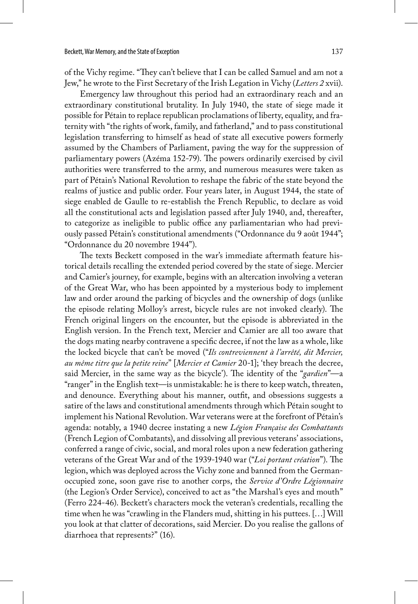of the Vichy regime. "They can't believe that I can be called Samuel and am not a Jew," he wrote to the First Secretary of the Irish Legation in Vichy (*Letters 2* xvii).

Emergency law throughout this period had an extraordinary reach and an extraordinary constitutional brutality. In July 1940, the state of siege made it possible for Pétain to replace republican proclamations of liberty, equality, and fraternity with "the rights of work, family, and fatherland," and to pass constitutional legislation transferring to himself as head of state all executive powers formerly assumed by the Chambers of Parliament, paving the way for the suppression of parliamentary powers (Azéma 152-79). The powers ordinarily exercised by civil authorities were transferred to the army, and numerous measures were taken as part of Pétain's National Revolution to reshape the fabric of the state beyond the realms of justice and public order. Four years later, in August 1944, the state of siege enabled de Gaulle to re-establish the French Republic, to declare as void all the constitutional acts and legislation passed after July 1940, and, thereafter, to categorize as ineligible to public office any parliamentarian who had previously passed Pétain's constitutional amendments ("Ordonnance du 9 août 1944"; "Ordonnance du 20 novembre 1944").

The texts Beckett composed in the war's immediate aftermath feature historical details recalling the extended period covered by the state of siege. Mercier and Camier's journey, for example, begins with an altercation involving a veteran of the Great War, who has been appointed by a mysterious body to implement law and order around the parking of bicycles and the ownership of dogs (unlike the episode relating Molloy's arrest, bicycle rules are not invoked clearly). The French original lingers on the encounter, but the episode is abbreviated in the English version. In the French text, Mercier and Camier are all too aware that the dogs mating nearby contravene a specific decree, if not the law as a whole, like the locked bicycle that can't be moved ("*Ils contreviennent à l'arrêté, dit Mercier, au même titre que la petite reine*" [*Mercier et Camier* 20-1]; 'they breach the decree, said Mercier, in the same way as the bicycle'). The identity of the "*gardien*"—a "ranger" in the English text—is unmistakable: he is there to keep watch, threaten, and denounce. Everything about his manner, outfit, and obsessions suggests a satire of the laws and constitutional amendments through which Pétain sought to implement his National Revolution. War veterans were at the forefront of Pétain's agenda: notably, a 1940 decree instating a new *Légion Française des Combattants* (French Legion of Combatants), and dissolving all previous veterans' associations, conferred a range of civic, social, and moral roles upon a new federation gathering veterans of the Great War and of the 1939-1940 war ("*Loi portant création*"). The legion, which was deployed across the Vichy zone and banned from the Germanoccupied zone, soon gave rise to another corps, the *Service d'Ordre Légionnaire* (the Legion's Order Service), conceived to act as "the Marshal's eyes and mouth" (Ferro 224-46). Beckett's characters mock the veteran's credentials, recalling the time when he was "crawling in the Flanders mud, shitting in his puttees. […] Will you look at that clatter of decorations, said Mercier. Do you realise the gallons of diarrhoea that represents?" (16).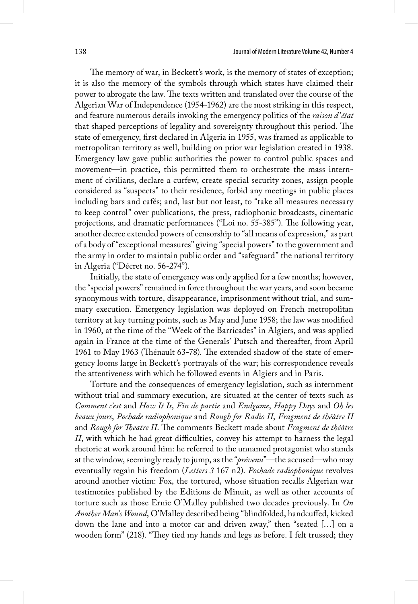The memory of war, in Beckett's work, is the memory of states of exception; it is also the memory of the symbols through which states have claimed their power to abrogate the law. The texts written and translated over the course of the Algerian War of Independence (1954-1962) are the most striking in this respect, and feature numerous details invoking the emergency politics of the *raison d'état* that shaped perceptions of legality and sovereignty throughout this period. The state of emergency, first declared in Algeria in 1955, was framed as applicable to metropolitan territory as well, building on prior war legislation created in 1938. Emergency law gave public authorities the power to control public spaces and movement—in practice, this permitted them to orchestrate the mass internment of civilians, declare a curfew, create special security zones, assign people considered as "suspects" to their residence, forbid any meetings in public places including bars and cafés; and, last but not least, to "take all measures necessary to keep control" over publications, the press, radiophonic broadcasts, cinematic projections, and dramatic performances ("Loi no. 55-385"). The following year, another decree extended powers of censorship to "all means of expression," as part of a body of "exceptional measures" giving "special powers" to the government and the army in order to maintain public order and "safeguard" the national territory in Algeria ("Décret no. 56-274").

Initially, the state of emergency was only applied for a few months; however, the "special powers" remained in force throughout the war years, and soon became synonymous with torture, disappearance, imprisonment without trial, and summary execution. Emergency legislation was deployed on French metropolitan territory at key turning points, such as May and June 1958; the law was modified in 1960, at the time of the "Week of the Barricades" in Algiers, and was applied again in France at the time of the Generals' Putsch and thereafter, from April 1961 to May 1963 (Thénault 63-78). The extended shadow of the state of emergency looms large in Beckett's portrayals of the war; his correspondence reveals the attentiveness with which he followed events in Algiers and in Paris.

Torture and the consequences of emergency legislation, such as internment without trial and summary execution, are situated at the center of texts such as *Comment c'est* and *How It Is*, *Fin de partie* and *Endgame*, *Happy Days* and *Oh les beaux jours*, *Pochade radiophonique* and *Rough for Radio II*, *Fragment de théâtre II*  and *Rough for Theatre II*. The comments Beckett made about *Fragment de théâtre II*, with which he had great difficulties, convey his attempt to harness the legal rhetoric at work around him: he referred to the unnamed protagonist who stands at the window, seemingly ready to jump, as the "*prévenu*"—the accused—who may eventually regain his freedom (*Letters 3* 167 n2). *Pochade radiophonique* revolves around another victim: Fox, the tortured, whose situation recalls Algerian war testimonies published by the Editions de Minuit, as well as other accounts of torture such as those Ernie O'Malley published two decades previously. In *On Another Man's Wound*, O'Malley described being "blindfolded, handcuffed, kicked down the lane and into a motor car and driven away," then "seated […] on a wooden form" (218). "They tied my hands and legs as before. I felt trussed; they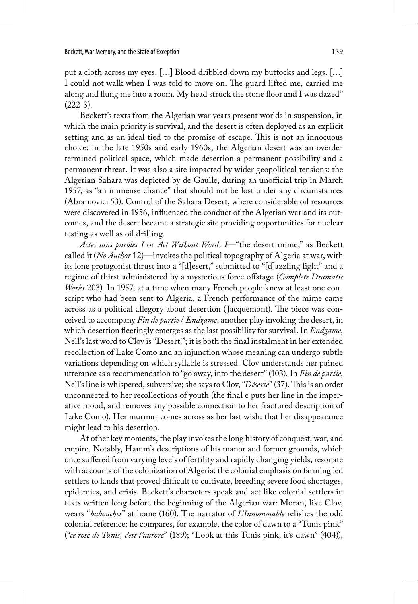put a cloth across my eyes. […] Blood dribbled down my buttocks and legs. […] I could not walk when I was told to move on. The guard lifted me, carried me along and flung me into a room. My head struck the stone floor and I was dazed"  $(222-3).$ 

Beckett's texts from the Algerian war years present worlds in suspension, in which the main priority is survival, and the desert is often deployed as an explicit setting and as an ideal tied to the promise of escape. This is not an innocuous choice: in the late 1950s and early 1960s, the Algerian desert was an overdetermined political space, which made desertion a permanent possibility and a permanent threat. It was also a site impacted by wider geopolitical tensions: the Algerian Sahara was depicted by de Gaulle, during an unofficial trip in March 1957, as "an immense chance" that should not be lost under any circumstances (Abramovici 53). Control of the Sahara Desert, where considerable oil resources were discovered in 1956, influenced the conduct of the Algerian war and its outcomes, and the desert became a strategic site providing opportunities for nuclear testing as well as oil drilling.

*Actes sans paroles I* or *Act Without Words I*—"the desert mime," as Beckett called it (*No Author* 12)—invokes the political topography of Algeria at war, with its lone protagonist thrust into a "[d]esert," submitted to "[d]azzling light" and a regime of thirst administered by a mysterious force offstage (*Complete Dramatic Works* 203). In 1957, at a time when many French people knew at least one conscript who had been sent to Algeria, a French performance of the mime came across as a political allegory about desertion (Jacquemont). The piece was conceived to accompany *Fin de partie* / *Endgame*, another play invoking the desert, in which desertion fleetingly emerges as the last possibility for survival. In *Endgame*, Nell's last word to Clov is "Desert!"; it is both the final instalment in her extended recollection of Lake Como and an injunction whose meaning can undergo subtle variations depending on which syllable is stressed. Clov understands her pained utterance as a recommendation to "go away, into the desert" (103). In *Fin de partie*, Nell's line is whispered, subversive; she says to Clov, "*Déserte*" (37). This is an order unconnected to her recollections of youth (the final e puts her line in the imperative mood, and removes any possible connection to her fractured description of Lake Como). Her murmur comes across as her last wish: that her disappearance might lead to his desertion.

At other key moments, the play invokes the long history of conquest, war, and empire. Notably, Hamm's descriptions of his manor and former grounds, which once suffered from varying levels of fertility and rapidly changing yields, resonate with accounts of the colonization of Algeria: the colonial emphasis on farming led settlers to lands that proved difficult to cultivate, breeding severe food shortages, epidemics, and crisis. Beckett's characters speak and act like colonial settlers in texts written long before the beginning of the Algerian war: Moran, like Clov, wears "*babouches*" at home (160). The narrator of *L'Innommable* relishes the odd colonial reference: he compares, for example, the color of dawn to a "Tunis pink" ("*ce rose de Tunis, c'est l'aurore*" (189); "Look at this Tunis pink, it's dawn" (404)),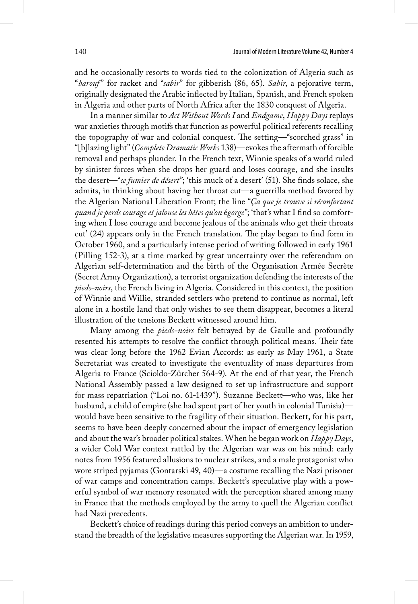and he occasionally resorts to words tied to the colonization of Algeria such as "*barouf*" for racket and "*sabir*" for gibberish (86, 65). *Sabir*, a pejorative term, originally designated the Arabic inflected by Italian, Spanish, and French spoken in Algeria and other parts of North Africa after the 1830 conquest of Algeria.

In a manner similar to *Act Without Words I* and *Endgame*, *Happy Days* replays war anxieties through motifs that function as powerful political referents recalling the topography of war and colonial conquest. The setting—"scorched grass" in "[b]lazing light" (*Complete Dramatic Works* 138)—evokes the aftermath of forcible removal and perhaps plunder. In the French text, Winnie speaks of a world ruled by sinister forces when she drops her guard and loses courage, and she insults the desert—"*ce fumier de désert*"; 'this muck of a desert' (51). She finds solace, she admits, in thinking about having her throat cut—a guerrilla method favored by the Algerian National Liberation Front; the line "*Ça que je trouve si réconfortant quand je perds courage et jalouse les bêtes qu'on* é*gorge*"; 'that's what I find so comforting when I lose courage and become jealous of the animals who get their throats cut' (24) appears only in the French translation. The play began to find form in October 1960, and a particularly intense period of writing followed in early 1961 (Pilling 152-3), at a time marked by great uncertainty over the referendum on Algerian self-determination and the birth of the Organisation Armée Secrète (Secret Army Organization), a terrorist organization defending the interests of the *pieds-noirs*, the French living in Algeria. Considered in this context, the position of Winnie and Willie, stranded settlers who pretend to continue as normal, left alone in a hostile land that only wishes to see them disappear, becomes a literal illustration of the tensions Beckett witnessed around him.

Many among the *pieds-noirs* felt betrayed by de Gaulle and profoundly resented his attempts to resolve the conflict through political means. Their fate was clear long before the 1962 Evian Accords: as early as May 1961, a State Secretariat was created to investigate the eventuality of mass departures from Algeria to France (Scioldo-Zürcher 564-9). At the end of that year, the French National Assembly passed a law designed to set up infrastructure and support for mass repatriation ("Loi no. 61-1439"). Suzanne Beckett—who was, like her husband, a child of empire (she had spent part of her youth in colonial Tunisia) would have been sensitive to the fragility of their situation. Beckett, for his part, seems to have been deeply concerned about the impact of emergency legislation and about the war's broader political stakes. When he began work on *Happy Days*, a wider Cold War context rattled by the Algerian war was on his mind: early notes from 1956 featured allusions to nuclear strikes, and a male protagonist who wore striped pyjamas (Gontarski 49, 40)—a costume recalling the Nazi prisoner of war camps and concentration camps. Beckett's speculative play with a powerful symbol of war memory resonated with the perception shared among many in France that the methods employed by the army to quell the Algerian conflict had Nazi precedents.

Beckett's choice of readings during this period conveys an ambition to understand the breadth of the legislative measures supporting the Algerian war. In 1959,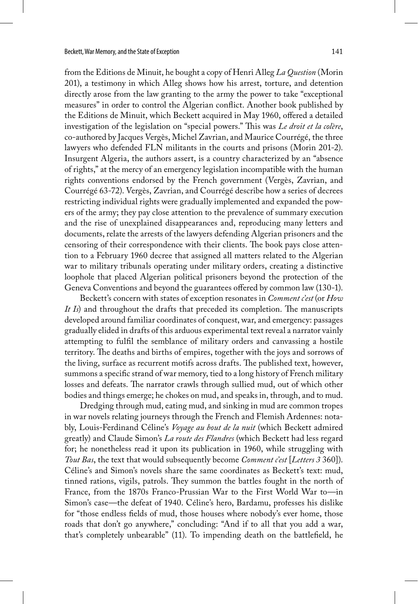from the Editions de Minuit, he bought a copy of Henri Alleg *La Question* (Morin 201), a testimony in which Alleg shows how his arrest, torture, and detention directly arose from the law granting to the army the power to take "exceptional measures" in order to control the Algerian conflict. Another book published by the Editions de Minuit, which Beckett acquired in May 1960, offered a detailed investigation of the legislation on "special powers." This was *Le droit et la colère*, co-authored by Jacques Vergès, Michel Zavrian, and Maurice Courrégé, the three lawyers who defended FLN militants in the courts and prisons (Morin 201-2). Insurgent Algeria, the authors assert, is a country characterized by an "absence of rights," at the mercy of an emergency legislation incompatible with the human rights conventions endorsed by the French government (Vergès, Zavrian, and Courrégé 63-72). Vergès, Zavrian, and Courrégé describe how a series of decrees restricting individual rights were gradually implemented and expanded the powers of the army; they pay close attention to the prevalence of summary execution and the rise of unexplained disappearances and, reproducing many letters and documents, relate the arrests of the lawyers defending Algerian prisoners and the censoring of their correspondence with their clients. The book pays close attention to a February 1960 decree that assigned all matters related to the Algerian war to military tribunals operating under military orders, creating a distinctive loophole that placed Algerian political prisoners beyond the protection of the Geneva Conventions and beyond the guarantees offered by common law (130-1).

Beckett's concern with states of exception resonates in *Comment c'est* (or *How It Is*) and throughout the drafts that preceded its completion. The manuscripts developed around familiar coordinates of conquest, war, and emergency: passages gradually elided in drafts of this arduous experimental text reveal a narrator vainly attempting to fulfil the semblance of military orders and canvassing a hostile territory. The deaths and births of empires, together with the joys and sorrows of the living, surface as recurrent motifs across drafts. The published text, however, summons a specific strand of war memory, tied to a long history of French military losses and defeats. The narrator crawls through sullied mud, out of which other bodies and things emerge; he chokes on mud, and speaks in, through, and to mud.

Dredging through mud, eating mud, and sinking in mud are common tropes in war novels relating journeys through the French and Flemish Ardennes: notably, Louis-Ferdinand Céline's *Voyage au bout de la nuit* (which Beckett admired greatly) and Claude Simon's *La route des Flandres* (which Beckett had less regard for; he nonetheless read it upon its publication in 1960, while struggling with *Tout Bas*, the text that would subsequently become *Comment c'est* [*Letters 3* 360]). Céline's and Simon's novels share the same coordinates as Beckett's text: mud, tinned rations, vigils, patrols. They summon the battles fought in the north of France, from the 1870s Franco-Prussian War to the First World War to—in Simon's case—the defeat of 1940. Céline's hero, Bardamu, professes his dislike for "those endless fields of mud, those houses where nobody's ever home, those roads that don't go anywhere," concluding: "And if to all that you add a war, that's completely unbearable" (11). To impending death on the battlefield, he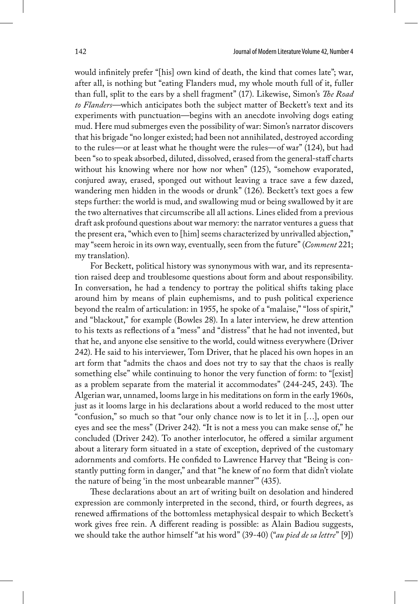would infinitely prefer "[his] own kind of death, the kind that comes late"; war, after all, is nothing but "eating Flanders mud, my whole mouth full of it, fuller than full, split to the ears by a shell fragment" (17). Likewise, Simon's *The Road to Flanders*—which anticipates both the subject matter of Beckett's text and its experiments with punctuation—begins with an anecdote involving dogs eating mud. Here mud submerges even the possibility of war: Simon's narrator discovers that his brigade "no longer existed; had been not annihilated, destroyed according to the rules—or at least what he thought were the rules—of war" (124), but had been "so to speak absorbed, diluted, dissolved, erased from the general-staff charts without his knowing where nor how nor when" (125), "somehow evaporated, conjured away, erased, sponged out without leaving a trace save a few dazed, wandering men hidden in the woods or drunk" (126). Beckett's text goes a few steps further: the world is mud, and swallowing mud or being swallowed by it are the two alternatives that circumscribe all all actions. Lines elided from a previous draft ask profound questions about war memory: the narrator ventures a guess that the present era, "which even to [him] seems characterized by unrivalled abjection," may "seem heroic in its own way, eventually, seen from the future" (*Comment* 221; my translation).

For Beckett, political history was synonymous with war, and its representation raised deep and troublesome questions about form and about responsibility. In conversation, he had a tendency to portray the political shifts taking place around him by means of plain euphemisms, and to push political experience beyond the realm of articulation: in 1955, he spoke of a "malaise," "loss of spirit," and "blackout," for example (Bowles 28). In a later interview, he drew attention to his texts as reflections of a "mess" and "distress" that he had not invented, but that he, and anyone else sensitive to the world, could witness everywhere (Driver 242). He said to his interviewer, Tom Driver, that he placed his own hopes in an art form that "admits the chaos and does not try to say that the chaos is really something else" while continuing to honor the very function of form: to "[exist] as a problem separate from the material it accommodates" (244-245, 243). The Algerian war, unnamed, looms large in his meditations on form in the early 1960s, just as it looms large in his declarations about a world reduced to the most utter "confusion," so much so that "our only chance now is to let it in […], open our eyes and see the mess" (Driver 242). "It is not a mess you can make sense of," he concluded (Driver 242). To another interlocutor, he offered a similar argument about a literary form situated in a state of exception, deprived of the customary adornments and comforts. He confided to Lawrence Harvey that "Being is constantly putting form in danger," and that "he knew of no form that didn't violate the nature of being 'in the most unbearable manner'" (435).

These declarations about an art of writing built on desolation and hindered expression are commonly interpreted in the second, third, or fourth degrees, as renewed affirmations of the bottomless metaphysical despair to which Beckett's work gives free rein. A different reading is possible: as Alain Badiou suggests, we should take the author himself "at his word" (39-40) ("*au pied de sa lettre*" [9])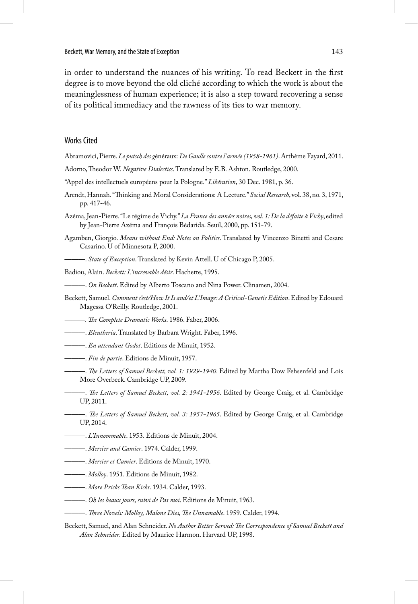in order to understand the nuances of his writing. To read Beckett in the first degree is to move beyond the old cliché according to which the work is about the meaninglessness of human experience; it is also a step toward recovering a sense of its political immediacy and the rawness of its ties to war memory.

### Works Cited

- Abramovici, Pierre. *Le putsch des g*énéraux: *De Gaulle contre l'armée (1958-1961)*. Arthème Fayard, 2011.
- Adorno, Theodor W. *Negative Dialectics*. Translated by E.B. Ashton. Routledge, 2000.
- "Appel des intellectuels européens pour la Pologne." *Libération*, 30 Dec. 1981, p. 36.
- Arendt, Hannah. "Thinking and Moral Considerations: A Lecture." *Social Research*, vol. 38, no. 3, 1971, pp. 417-46.
- Azéma, Jean-Pierre. "Le régime de Vichy." *La France des années noires, vol. 1: De la défaite à Vichy*, edited by Jean-Pierre Azéma and François Bédarida. Seuil, 2000, pp. 151-79.
- Agamben, Giorgio. *Means without End: Notes on Politics*. Translated by Vincenzo Binetti and Cesare Casarino. U of Minnesota P, 2000.
	- ———. *State of Exception*. Translated by Kevin Attell. U of Chicago P, 2005.
- Badiou, Alain. *Beckett: L'increvable désir*. Hachette, 1995.
- ———. *On Beckett*. Edited by Alberto Toscano and Nina Power. Clinamen, 2004.
- Beckett, Samuel. *Comment c'est/How It Is and/et L'Image: A Critical-Genetic Edition*. Edited by Edouard Magessa O'Reilly. Routledge, 2001.
- *———. The Complete Dramatic Works*. 1986. Faber, 2006.
- ———. *Eleutheria*. Translated by Barbara Wright. Faber, 1996.
- ———. *En attendant Godot*. Editions de Minuit, 1952.
- ———. *Fin de partie*. Editions de Minuit, 1957.
- ———. *The Letters of Samuel Beckett, vol. 1: 1929-1940*. Edited by Martha Dow Fehsenfeld and Lois More Overbeck. Cambridge UP, 2009.
- ———. *The Letters of Samuel Beckett, vol. 2: 1941-1956*. Edited by George Craig, et al. Cambridge UP, 2011.
	- ———. *The Letters of Samuel Beckett, vol. 3: 1957-1965*. Edited by George Craig, et al. Cambridge UP, 2014.
- ———. *L'Innommable*. 1953. Editions de Minuit, 2004.
- ———. *Mercier and Camier*. 1974. Calder, 1999.
- ———. *Mercier et Camier*. Editions de Minuit, 1970.
- ———. *Molloy*. 1951. Editions de Minuit, 1982.
- ———. *More Pricks Than Kicks*. 1934. Calder, 1993.
- ———. *Oh les beaux jours, suivi de Pas moi*. Editions de Minuit, 1963.
- ———. *Three Novels: Molloy, Malone Dies, The Unnamable*. 1959. Calder, 1994.
- Beckett, Samuel, and Alan Schneider. *No Author Better Served: The Correspondence of Samuel Beckett and Alan Schneider*. Edited by Maurice Harmon. Harvard UP, 1998.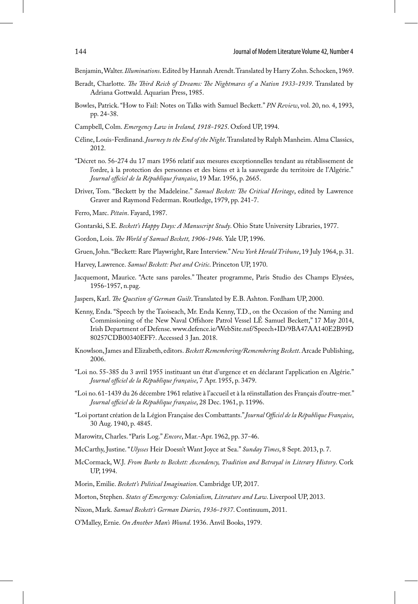Benjamin, Walter. *Illuminations*. Edited by Hannah Arendt. Translated by Harry Zohn. Schocken, 1969.

- Beradt, Charlotte. *The Third Reich of Dreams: The Nightmares of a Nation 1933-1939*. Translated by Adriana Gottwald. Aquarian Press, 1985.
- Bowles, Patrick. "How to Fail: Notes on Talks with Samuel Beckett." *PN Review*, vol. 20, no. 4, 1993, pp. 24-38.
- Campbell, Colm. *Emergency Law in Ireland, 1918-1925*. Oxford UP, 1994.
- Céline, Louis-Ferdinand. *Journey to the End of the Night*. Translated by Ralph Manheim. Alma Classics, 2012.
- "Décret no. 56-274 du 17 mars 1956 relatif aux mesures exceptionnelles tendant au rétablissement de l'ordre, à la protection des personnes et des biens et à la sauvegarde du territoire de l'Algérie." *Journal officiel de la République française*, 19 Mar. 1956, p. 2665.
- Driver, Tom. "Beckett by the Madeleine." *Samuel Beckett: The Critical Heritage*, edited by Lawrence Graver and Raymond Federman. Routledge, 1979, pp. 241-7.
- Ferro, Marc. *Pétain*. Fayard, 1987.
- Gontarski, S.E. *Beckett's Happy Days: A Manuscript Study*. Ohio State University Libraries, 1977.
- Gordon, Lois. *The World of Samuel Beckett, 1906-1946*. Yale UP, 1996.
- Gruen, John. "Beckett: Rare Playwright, Rare Interview." *New York Herald Tribune*, 19 July 1964, p. 31.
- Harvey, Lawrence. *Samuel Beckett: Poet and Critic*. Princeton UP, 1970.
- Jacquemont, Maurice. "Acte sans paroles." Theater programme, Paris Studio des Champs Elysées, 1956-1957, n.pag.
- Jaspers, Karl. *The Question of German Guilt*. Translated by E.B. Ashton. Fordham UP, 2000.
- Kenny, Enda. "Speech by the Taoiseach, Mr. Enda Kenny, T.D., on the Occasion of the Naming and Commissioning of the New Naval Offshore Patrol Vessel LÉ Samuel Beckett," 17 May 2014, Irish Department of Defense. www.defence.ie/WebSite.nsf/Speech+ID/9BA47AA140E2B99D 80257CDB00340EFF?. Accessed 3 Jan. 2018.
- Knowlson, James and Elizabeth, editors. *Beckett Remembering/Remembering Beckett*. Arcade Publishing, 2006.
- "Loi no. 55-385 du 3 avril 1955 instituant un état d'urgence et en déclarant l'application en Algérie." *Journal officiel de la République française*, 7 Apr. 1955, p. 3479.
- "Loi no. 61-1439 du 26 décembre 1961 relative à l'accueil et à la réinstallation des Français d'outre-mer." *Journal officiel de la République française*, 28 Dec. 1961, p. 11996.
- "Loi portant création de la Légion Française des Combattants." *Journal Officiel de la République Française*, 30 Aug. 1940, p. 4845.
- Marowitz, Charles. "Paris Log." *Encore*, Mar.-Apr. 1962, pp. 37-46.
- McCarthy, Justine. "*Ulysses* Heir Doesn't Want Joyce at Sea." *Sunday Times*, 8 Sept. 2013, p. 7.
- McCormack, W.J. *From Burke to Beckett: Ascendency, Tradition and Betrayal in Literary History*. Cork UP, 1994.

Morin, Emilie. *Beckett's Political Imagination*. Cambridge UP, 2017.

Morton, Stephen. *States of Emergency: Colonialism, Literature and Law*. Liverpool UP, 2013.

Nixon, Mark. *Samuel Beckett's German Diaries, 1936-1937*. Continuum, 2011.

O'Malley, Ernie. *On Another Man's Wound*. 1936. Anvil Books, 1979.